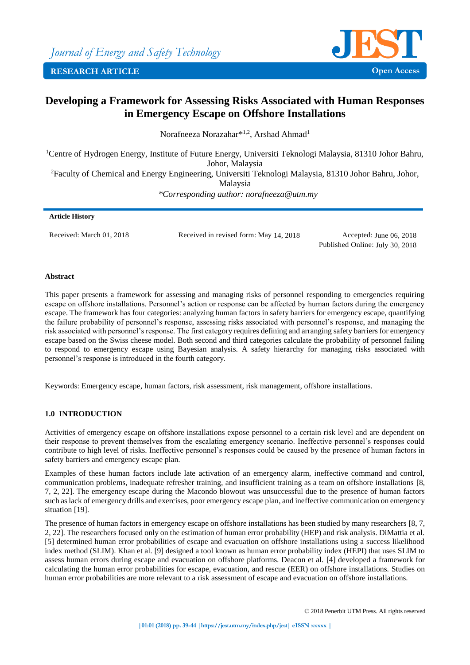

# **Developing a Framework for Assessing Risks Associated with Human Responses in Emergency Escape on Offshore Installations**

Norafneeza Norazahar\*<sup>1,2</sup>, Arshad Ahmad<sup>1</sup>

<sup>1</sup>Centre of Hydrogen Energy, Institute of Future Energy, Universiti Teknologi Malaysia, 81310 Johor Bahru, Johor, Malaysia <sup>2</sup>Faculty of Chemical and Energy Engineering, Universiti Teknologi Malaysia, 81310 Johor Bahru, Johor, Malaysia

*\*Corresponding author: norafneeza@utm.my*

#### **Article History**

Received: March 01, 2018 Received in revised form: May 14, 2018 Accepted: June 06, 2018

Published Online: July 30, 2018

#### **Abstract**

This paper presents a framework for assessing and managing risks of personnel responding to emergencies requiring escape on offshore installations. Personnel's action or response can be affected by human factors during the emergency escape. The framework has four categories: analyzing human factors in safety barriers for emergency escape, quantifying the failure probability of personnel's response, assessing risks associated with personnel's response, and managing the risk associated with personnel's response. The first category requires defining and arranging safety barriers for emergency escape based on the Swiss cheese model. Both second and third categories calculate the probability of personnel failing to respond to emergency escape using Bayesian analysis. A safety hierarchy for managing risks associated with personnel's response is introduced in the fourth category.

Keywords: Emergency escape, human factors, risk assessment, risk management, offshore installations.

# **1.0 INTRODUCTION**

Activities of emergency escape on offshore installations expose personnel to a certain risk level and are dependent on their response to prevent themselves from the escalating emergency scenario. Ineffective personnel's responses could contribute to high level of risks. Ineffective personnel's responses could be caused by the presence of human factors in safety barriers and emergency escape plan.

Examples of these human factors include late activation of an emergency alarm, ineffective command and control, communication problems, inadequate refresher training, and insufficient training as a team on offshore installations [8, 7, 2, 22]. The emergency escape during the Macondo blowout was unsuccessful due to the presence of human factors such as lack of emergency drills and exercises, poor emergency escape plan, and ineffective communication on emergency situation [19].

The presence of human factors in emergency escape on offshore installations has been studied by many researchers [8, 7, 2, 22]. The researchers focused only on the estimation of human error probability (HEP) and risk analysis. DiMattia et al. [5] determined human error probabilities of escape and evacuation on offshore installations using a success likelihood index method (SLIM). Khan et al. [9] designed a tool known as human error probability index (HEPI) that uses SLIM to assess human errors during escape and evacuation on offshore platforms. Deacon et al. [4] developed a framework for calculating the human error probabilities for escape, evacuation, and rescue (EER) on offshore installations. Studies on human error probabilities are more relevant to a risk assessment of escape and evacuation on offshore installations.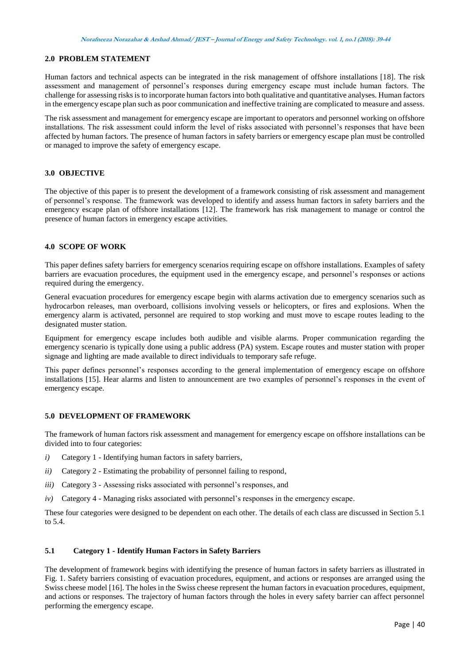# **2.0 PROBLEM STATEMENT**

Human factors and technical aspects can be integrated in the risk management of offshore installations [18]. The risk assessment and management of personnel's responses during emergency escape must include human factors. The challenge for assessing risks is to incorporate human factors into both qualitative and quantitative analyses. Human factors in the emergency escape plan such as poor communication and ineffective training are complicated to measure and assess.

The risk assessment and management for emergency escape are important to operators and personnel working on offshore installations. The risk assessment could inform the level of risks associated with personnel's responses that have been affected by human factors. The presence of human factors in safety barriers or emergency escape plan must be controlled or managed to improve the safety of emergency escape.

## **3.0 OBJECTIVE**

The objective of this paper is to present the development of a framework consisting of risk assessment and management of personnel's response. The framework was developed to identify and assess human factors in safety barriers and the emergency escape plan of offshore installations [12]. The framework has risk management to manage or control the presence of human factors in emergency escape activities.

# **4.0 SCOPE OF WORK**

This paper defines safety barriers for emergency scenarios requiring escape on offshore installations. Examples of safety barriers are evacuation procedures, the equipment used in the emergency escape, and personnel's responses or actions required during the emergency.

General evacuation procedures for emergency escape begin with alarms activation due to emergency scenarios such as hydrocarbon releases, man overboard, collisions involving vessels or helicopters, or fires and explosions. When the emergency alarm is activated, personnel are required to stop working and must move to escape routes leading to the designated muster station.

Equipment for emergency escape includes both audible and visible alarms. Proper communication regarding the emergency scenario is typically done using a public address (PA) system. Escape routes and muster station with proper signage and lighting are made available to direct individuals to temporary safe refuge.

This paper defines personnel's responses according to the general implementation of emergency escape on offshore installations [15]. Hear alarms and listen to announcement are two examples of personnel's responses in the event of emergency escape.

# **5.0 DEVELOPMENT OF FRAMEWORK**

The framework of human factors risk assessment and management for emergency escape on offshore installations can be divided into to four categories:

- *i*) Category 1 Identifying human factors in safety barriers,
- *ii)* Category 2 Estimating the probability of personnel failing to respond,
- *iii)* Category 3 Assessing risks associated with personnel's responses, and
- *iv)* Category 4 Managing risks associated with personnel's responses in the emergency escape.

These four categories were designed to be dependent on each other. The details of each class are discussed in Section 5.1 to 5.4.

## **5.1 Category 1 - Identify Human Factors in Safety Barriers**

The development of framework begins with identifying the presence of human factors in safety barriers as illustrated in Fig. 1. Safety barriers consisting of evacuation procedures, equipment, and actions or responses are arranged using the Swiss cheese model [16]. The holes in the Swiss cheese represent the human factors in evacuation procedures, equipment, and actions or responses. The trajectory of human factors through the holes in every safety barrier can affect personnel performing the emergency escape.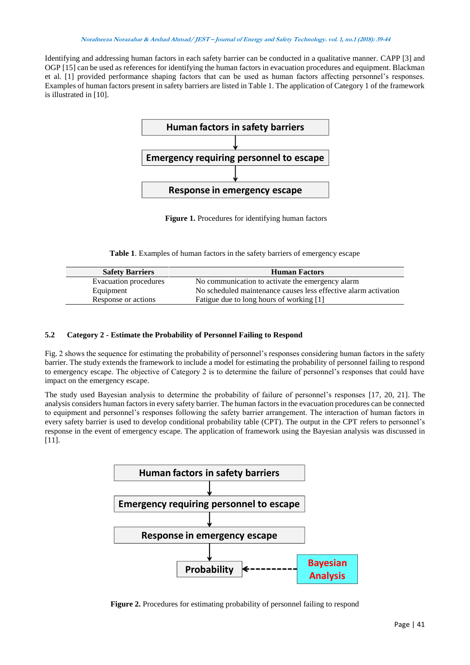#### **Norafneeza Norazahar & Arshad Ahmad/ JEST – Journal of Energy and Safety Technology. vol. 1, no.1 (2018): 39-44**

Identifying and addressing human factors in each safety barrier can be conducted in a qualitative manner. CAPP [3] and OGP [15] can be used as references for identifying the human factors in evacuation procedures and equipment. Blackman et al. [1] provided performance shaping factors that can be used as human factors affecting personnel's responses. Examples of human factors present in safety barriers are listed in Table 1. The application of Category 1 of the framework is illustrated in [10].



**Figure 1.** Procedures for identifying human factors

**Table 1**. Examples of human factors in the safety barriers of emergency escape

| <b>Safety Barriers</b> | <b>Human Factors</b>                                            |
|------------------------|-----------------------------------------------------------------|
| Evacuation procedures  | No communication to activate the emergency alarm                |
| Equipment              | No scheduled maintenance causes less effective alarm activation |
| Response or actions    | Fatigue due to long hours of working [1]                        |

## **5.2 Category 2 - Estimate the Probability of Personnel Failing to Respond**

Fig. 2 shows the sequence for estimating the probability of personnel's responses considering human factors in the safety barrier. The study extends the framework to include a model for estimating the probability of personnel failing to respond to emergency escape. The objective of Category 2 is to determine the failure of personnel's responses that could have impact on the emergency escape.

The study used Bayesian analysis to determine the probability of failure of personnel's responses [17, 20, 21]. The analysis considers human factors in every safety barrier. The human factors in the evacuation procedures can be connected to equipment and personnel's responses following the safety barrier arrangement. The interaction of human factors in every safety barrier is used to develop conditional probability table (CPT). The output in the CPT refers to personnel's response in the event of emergency escape. The application of framework using the Bayesian analysis was discussed in [11].



**Figure 2.** Procedures for estimating probability of personnel failing to respond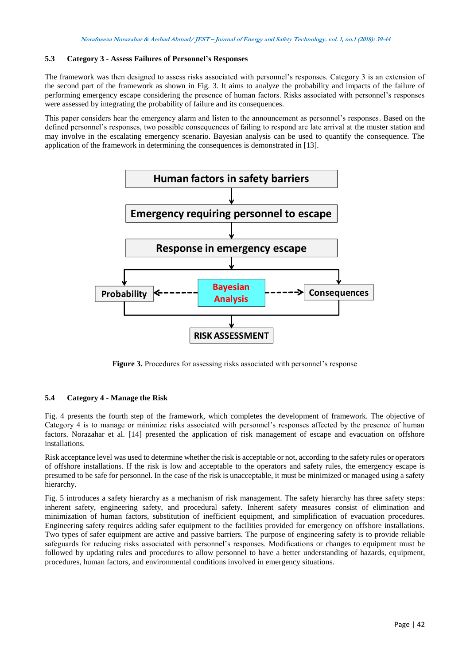# **5.3 Category 3 - Assess Failures of Personnel's Responses**

The framework was then designed to assess risks associated with personnel's responses. Category 3 is an extension of the second part of the framework as shown in Fig. 3. It aims to analyze the probability and impacts of the failure of performing emergency escape considering the presence of human factors. Risks associated with personnel's responses were assessed by integrating the probability of failure and its consequences.

This paper considers hear the emergency alarm and listen to the announcement as personnel's responses. Based on the defined personnel's responses, two possible consequences of failing to respond are late arrival at the muster station and may involve in the escalating emergency scenario. Bayesian analysis can be used to quantify the consequence. The application of the framework in determining the consequences is demonstrated in [13].



**Figure 3.** Procedures for assessing risks associated with personnel's response

## **5.4 Category 4 - Manage the Risk**

Fig. 4 presents the fourth step of the framework, which completes the development of framework. The objective of Category 4 is to manage or minimize risks associated with personnel's responses affected by the presence of human factors. Norazahar et al. [14] presented the application of risk management of escape and evacuation on offshore installations.

Risk acceptance level was used to determine whether the risk is acceptable or not, according to the safety rules or operators of offshore installations. If the risk is low and acceptable to the operators and safety rules, the emergency escape is presumed to be safe for personnel. In the case of the risk is unacceptable, it must be minimized or managed using a safety hierarchy.

Fig. 5 introduces a safety hierarchy as a mechanism of risk management. The safety hierarchy has three safety steps: inherent safety, engineering safety, and procedural safety. Inherent safety measures consist of elimination and minimization of human factors, substitution of inefficient equipment, and simplification of evacuation procedures. Engineering safety requires adding safer equipment to the facilities provided for emergency on offshore installations. Two types of safer equipment are active and passive barriers. The purpose of engineering safety is to provide reliable safeguards for reducing risks associated with personnel's responses. Modifications or changes to equipment must be followed by updating rules and procedures to allow personnel to have a better understanding of hazards, equipment, procedures, human factors, and environmental conditions involved in emergency situations.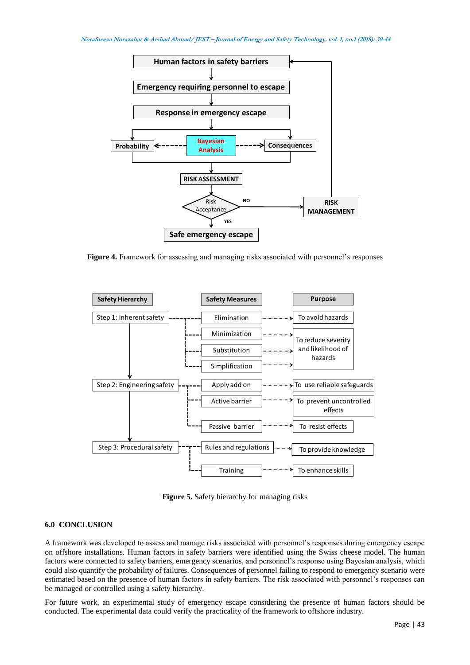

**Figure 4.** Framework for assessing and managing risks associated with personnel's responses



**Figure 5.** Safety hierarchy for managing risks

# **6.0 CONCLUSION**

A framework was developed to assess and manage risks associated with personnel's responses during emergency escape on offshore installations. Human factors in safety barriers were identified using the Swiss cheese model. The human factors were connected to safety barriers, emergency scenarios, and personnel's response using Bayesian analysis, which could also quantify the probability of failures. Consequences of personnel failing to respond to emergency scenario were estimated based on the presence of human factors in safety barriers. The risk associated with personnel's responses can be managed or controlled using a safety hierarchy.

For future work, an experimental study of emergency escape considering the presence of human factors should be conducted. The experimental data could verify the practicality of the framework to offshore industry.